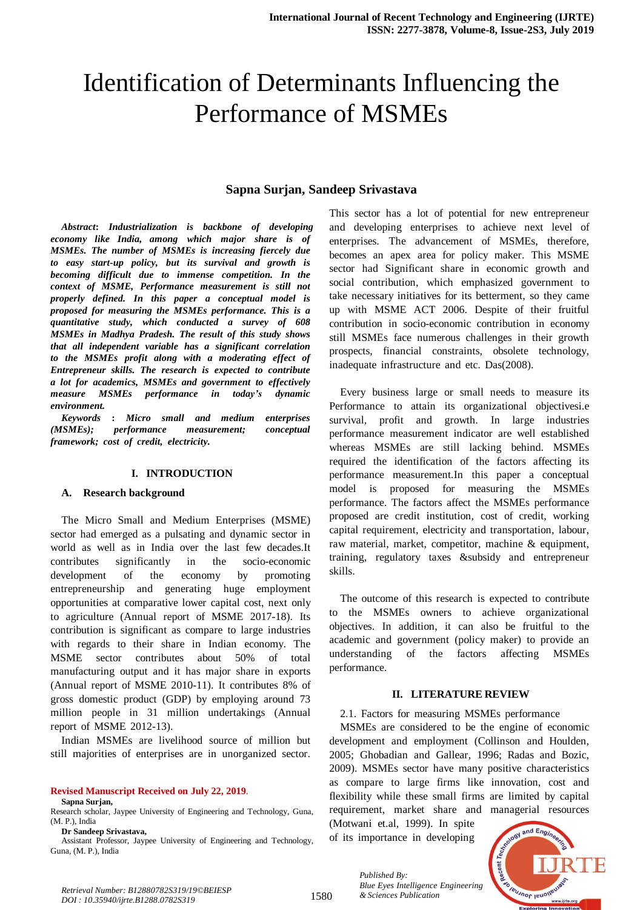# Identification of Determinants Influencing the Performance of MSMEs

# **Sapna Surjan, Sandeep Srivastava**

*Abstract***:** *Industrialization is backbone of developing economy* like India, among which major share is of *MSMEs. The number of MSMEs is increasing fiercely due to* easy start-up policy, but its survival and growth is *becomingdifficult due to immense competition. In the context* of *MSME*, Performance measurement is still not *properly defined. In this paper a conceptual model is proposed* for measuring the MSMEs performance. This is a *z quantitative study*, *which conducted a survey of 608 MSMEs* in *Madhya Pradesh. The result of this study shows that* all independent variable has a significant correlation *to the MSMEs profit along with a moderating effect of Entrepreneur skills. The research is expected to contribute a lot for academics, MSMEs and government to effectively measure MSMEs performance in today's dynamic environment.*

*Keywords* : Micro *small and medium enterprises (MSMEs);* performance measurement; conceptual  $framework$ ; *cost of credit, electricity.* 

## **I. INTRODUCTION**

#### **A. Research background**

The Micro Small and Medium Enterprises (MSME) sector had emerged as a pulsating and dynamic sector in world as well as in India over the last few decades.It  $contributes$  significantly in the socio-economic  $d$  evelopment of the economy by promoting entrepreneurship and generating huge employment opportunities at comparative lower capital cost, next only to agriculture (Annual report of MSME 2017-18). Its contribution is significant as compare to large industries with regards to their share in Indian economy. The MSME sector contributes about  $50\%$  of total manufacturing output and it has major share in exports (Annual report of MSME 2010-11). It contributes  $8\%$  of gross domestic product (GDP) by employing around  $73$ million people in 31 million undertakings (Annual report of MSME  $2012-13$ ).

Indian MSMEs are livelihood source of million but still majorities of enterprises are in unorganized sector.

#### **Revised Manuscript Received on July 22, 2019**.

**Sapna Surjan,** 

Guna, (M. P.), India

Research scholar, Jaypee University of Engineering and Technology, Guna, (M. P.), India **Dr Sandeep Srivastava,**

Assistant Professor, Jaypee University of Engineering and Technology,

This sector has a lot of potential for new entrepreneur and developing enterprises to achieve next level of enterprises. The advancement of MSMEs, therefore, becomes an apex area for policy maker. This MSME sector had Significant share in economic growth and social contribution, which emphasized government to take necessary initiatives for its betterment, so they came up with MSME ACT 2006. Despite of their fruitful contribution in socio-economic contribution in economy still MSMEs face numerous challenges in their growth prospects, financial constraints, obsolete technology, inadequate infrastructure and etc. Das(2008).

Every business large or small needs to measure its Performance to attain its organizational objectivesi.e survival, profit and growth. In large industries performance measurement indicator are well established whereas MSMEs are still lacking behind. MSMEs required the identification of the factors affecting its performance measurement.In this paper a conceptual model is proposed for measuring the MSMEs performance. The factors affect the MSMEs performance proposed are credit institution, cost of credit, working capital requirement, electricity and transportation, labour, raw material, market, competitor, machine  $\&$  equipment, training, regulatory taxes &subsidy and entrepreneur skills.

The outcome of this research is expected to contribute to the MSMEs owners to achieve organizational objectives. In addition, it can also be fruitful to the academic and government (policy maker) to provide an understanding of the factors affecting MSMEs performance.

## **II. LITERATURE REVIEW**

#### 2.1. Factors for measuring MSMEs performance

MSMEs are considered to be the engine of economic development and employment (Collinson and Houlden, 2005; Ghobadian and Gallear, 1996; Radas and Bozic, 2009). MSMEs sector have many positive characteristics as compare to large firms like innovation, cost and flexibility while these small firms are limited by capital requirement, market share and managerial resources

(Motwani et.al, 1999). In spite of its importance in developing

*Blue Eyes Intelligence Engineering* 

*Published By:*



*Blue Eyes Intelligence*<br>*Retrieval Number: B12880782S319/19©BEIESP*<br>1580 *& Sciences Publication DOI : 10.35940/ijrte.B1288.0782S319*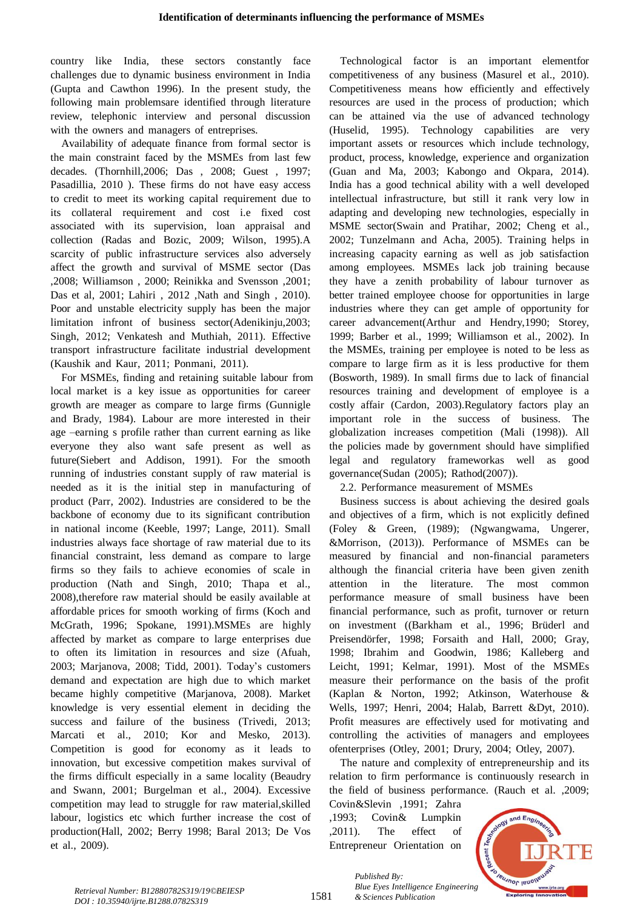country like India, these sectors constantly face challenges due to dynamic business environment in India (Gupta and Cawthon 1996). In the present study, the following main problemsare identified through literature review, telephonic interview and personal discussion with the owners and managers of entreprises.

Availability of adequate finance from formal sector is the main constraint faced by the MSMEs from last few decades. (Thornhill,2006; Das , 2008; Guest , 1997; Pasadillia, 2010). These firms do not have easy access to credit to meet its working capital requirement due to its collateral requirement and cost i.e fixed cost associated with its supervision, loan appraisal and collection (Radas and Bozic, 2009; Wilson, 1995).A scarcity of public infrastructure services also adversely affect the growth and survival of MSME sector (Das ,2008; Williamson, 2000; Reinikka and Svensson, 2001; Das et al, 2001; Lahiri, 2012, Nath and Singh, 2010). Poor and unstable electricity supply has been the major limitation infront of business sector(Adenikinju,2003; Singh, 2012; Venkatesh and Muthiah, 2011). Effective transport infrastructure facilitate industrial development (Kaushik and Kaur,  $2011$ ; Ponmani,  $2011$ ).

For MSMEs, finding and retaining suitable labour from local market is a key issue as opportunities for career growth are meager as compare to large firms (Gunnigle and Brady, 1984). Labour are more interested in their age –earning s profile rather than current earning as like everyone they also want safe present as well as future(Siebert and Addison, 1991). For the smooth running of industries constant supply of raw material is needed as it is the initial step in manufacturing of product (Parr, 2002). Industries are considered to be the backbone of economy due to its significant contribution in national income (Keeble, 1997; Lange, 2011). Small industries always face shortage of raw material due to its financial constraint, less demand as compare to large firms so they fails to achieve economies of scale in production (Nath and Singh, 2010; Thapa et al.,  $2008$ ), therefore raw material should be easily available at affordable prices for smooth working of firms (Koch and McGrath, 1996; Spokane, 1991).MSMEs are highly affected by market as compare to large enterprises due to often its limitation in resources and size (Afuah, 2003; Marjanova, 2008; Tidd, 2001). Today's customers demand and expectation are high due to which market became highly competitive (Marjanova, 2008). Market knowledge is very essential element in deciding the success and failure of the business (Trivedi, 2013; Marcati et al., 2010; Kor and Mesko, 2013). Competition is good for economy as it leads to innovation, but excessive competition makes survival of the firms difficult especially in a same locality (Beaudry and Swann, 2001; Burgelman et al., 2004). Excessive competition may lead to struggle for raw material,skilled labour, logistics etc which further increase the cost of production(Hall, 2002; Berry 1998; Baral 2013; De Vos et al., 2009).

Technological factor is an important elementfor competitiveness of any business (Masurel et al., 2010). Competitiveness means how efficiently and effectively resources are used in the process of production; which can be attained via the use of advanced technology  $(Huselid, 1995)$ . Technology capabilities are very important assets or resources which include technology, product, process, knowledge, experience and organization (Guan and Ma, 2003; Kabongo and Okpara, 2014). India has a good technical ability with a well developed intellectual infrastructure, but still it rank very low in adapting and developing new technologies, especially in MSME sector(Swain and Pratihar, 2002; Cheng et al., 2002; Tunzelmann and Acha, 2005). Training helps in increasing capacity earning as well as job satisfaction among employees. MSMEs lack job training because they have a zenith probability of labour turnover as better trained employee choose for opportunities in large industries where they can get ample of opportunity for career advancement(Arthur and Hendry,1990; Storey, 1999; Barber et al., 1999; Williamson et al., 2002). In the MSMEs, training per employee is noted to be less as compare to large firm as it is less productive for them (Bosworth,  $1989$ ). In small firms due to lack of financial resources training and development of employee is a costly affair (Cardon, 2003).Regulatory factors play an important role in the success of business. The globalization increases competition (Mali (1998)). All the policies made by government should have simplified legal and regulatory frameworkas well as good governance(Sudan  $(2005)$ ; Rathod $(2007)$ ).

2.2. Performance measurement of MSMEs

Business success is about achieving the desired goals and objectives of a firm, which is not explicitly defined (Foley & Green, (1989); (Ngwangwama, Ungerer, &Morrison,  $(2013)$ ). Performance of MSMEs can be measured by financial and non-financial parameters although the financial criteria have been given zenith attention in the literature. The most common performance measure of small business have been financial performance, such as profit, turnover or return on investment ((Barkham et al., 1996; Brüderl and Preisendörfer, 1998; Forsaith and Hall, 2000; Gray, 1998; Ibrahim and Goodwin, 1986; Kalleberg and Leicht, 1991; Kelmar, 1991). Most of the MSMEs measure their performance on the basis of the profit (Kaplan & Norton, 1992; Atkinson, Waterhouse & Wells, 1997; Henri, 2004; Halab, Barrett &Dyt, 2010). Profit measures are effectively used for motivating and controlling the activities of managers and employees ofenterprises (Otley, 2001; Drury, 2004; Otley, 2007).

The nature and complexity of entrepreneurship and its relation to firm performance is continuously research in the field of business performance. (Rauch et al. ,2009;

Covin&Slevin ,1991; Zahra ,1993; Covin& Lumpkin  $,2011$ ). The effect of Entrepreneur Orientation on

*& Sciences Publication* 

*Published By:*



*Retrieval Number: B12880782S319/19©BEIESP DOI : 10.35940/ijrte.B1288.0782S319*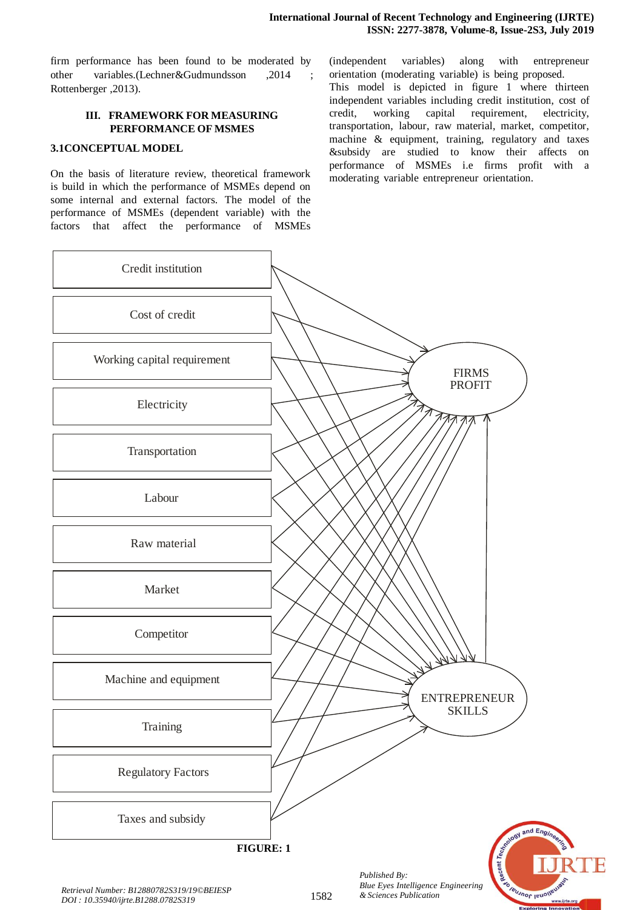firm performance has been found to be moderated by other variables.(Lechner&Gudmundsson ,2014 Rottenberger ,2013).

# **III. FRAMEWORK FOR MEASURING PERFORMANCE OF MSMES**

# **3.1CONCEPTUAL MODEL**

On the basis of literature review, theoretical framework is build in which the performance of MSMEs depend on some internal and external factors. The model of the performance of MSMEs (dependent variable) with the factors that affect the performance of MSMEs

(independent variables) along with entrepreneur orientation (moderating variable) is being proposed. This model is depicted in figure 1 where thirteen independent variables including credit institution, cost of credit, working capital requirement, electricity, transportation, labour, raw material, market, competitor, machine  $\&$  equipment, training, regulatory and taxes &subsidy are studied to know their affects on performance of MSMEs i.e firms profit with a moderating variable entrepreneur orientation.

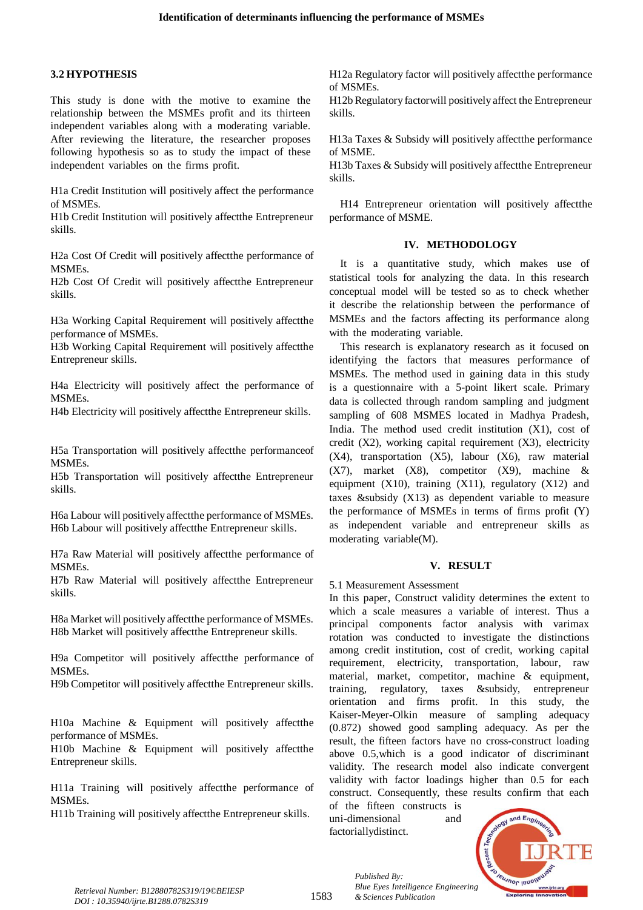## **3.2 HYPOTHESIS**

This study is done with the motive to examine the relationship between the MSMEs profit and its thirteen independent variables along with a moderating variable. After reviewing the literature, the researcher proposes following hypothesis so as to study the impact of these independent variables on the firms profit.

H1a Credit Institution will positively affect the performance of MSMEs.

H1b Credit Institution will positively affectthe Entrepreneur skills.

H2a Cost Of Credit will positively affectthe performance of MSMEs.

H2b Cost Of Credit will positively affectthe Entrepreneur skills.

H3a Working Capital Requirement will positively affectthe performance of MSMEs.

H3b Working Capital Requirement will positively affectthe Entrepreneur skills.

H4a Electricity will positively affect the performance of MSMEs.

H4b Electricity will positively affectthe Entrepreneur skills.

H5a Transportation will positively affectthe performanceof MSMEs.

H5b Transportation will positively affectthe Entrepreneur skills.

H6a Labour will positively affectthe performance of MSMEs. H6b Labour will positively affectthe Entrepreneur skills.

H7a Raw Material will positively affectthe performance of MSMEs.

H7b Raw Material will positively affectthe Entrepreneur skills.

H8a Market will positively affectthe performance of MSMEs. H8b Market will positively affectthe Entrepreneur skills.

H9a Competitor will positively affectthe performance of MSMEs.

H9b Competitor will positively affectthe Entrepreneur skills.

H10a Machine & Equipment will positively affectthe performance of MSMEs.

H10b Machine & Equipment will positively affectthe Entrepreneur skills.

H11a Training will positively affectthe performance of MSMEs.

H11b Training will positively affectthe Entrepreneur skills.

H12a Regulatory factor will positively affectthe performance of MSMEs.

H12b Regulatory factorwill positively affect the Entrepreneur skills.

H13a Taxes & Subsidy will positively affectthe performance of MSME.

H13b Taxes & Subsidy will positively affectthe Entrepreneur skills.

H14 Entrepreneur orientation will positively affectthe performance of MSME.

# **IV. METHODOLOGY**

It is a quantitative study, which makes use of statistical tools for analyzing the data. In this research conceptual model will be tested so as to check whether it describe the relationship between the performance of MSMEs and the factors affecting its performance along with the moderating variable.

This research is explanatory research as it focused on identifying the factors that measures performance of MSMEs. The method used in gaining data in this study is a questionnaire with a 5-point likert scale. Primary data is collected through random sampling and judgment sampling of 608 MSMES located in Madhya Pradesh, India. The method used credit institution  $(X1)$ , cost of credit (X2), working capital requirement (X3), electricity (X4), transportation (X5), labour (X6), raw material  $(X7)$ , market  $(X8)$ , competitor  $(X9)$ , machine & equipment (X10), training (X11), regulatory (X12) and taxes &subsidy  $(X13)$  as dependent variable to measure the performance of MSMEs in terms of firms profit  $(Y)$ as independent variable and entrepreneur skills as moderating variable $(M)$ .

# **V. RESULT**

5.1 Measurement Assessment

In this paper, Construct validity determines the extent to which a scale measures a variable of interest. Thus a principal components factor analysis with varimax rotation was conducted to investigate the distinctions among credit institution, cost of credit, working capital requirement, electricity, transportation, labour, raw material, market, competitor, machine  $\&$  equipment, training, regulatory, taxes &subsidy, entrepreneur orientation and firms profit. In this study, the Kaiser-Meyer-Olkin measure of sampling adequacy  $(0.872)$  showed good sampling adequacy. As per the result, the fifteen factors have no cross-construct loading above  $0.5$ , which is a good indicator of discriminant validity. The research model also indicate convergent validity with factor loadings higher than 0.5 for each construct. Consequently, these results confirm that each

of the fifteen constructs is uni-dimensional and factoriallydistinct.

*Published By:*

*& Sciences Publication* 



*Retrieval Number: B12880782S319/19©BEIESP DOI : 10.35940/ijrte.B1288.0782S319*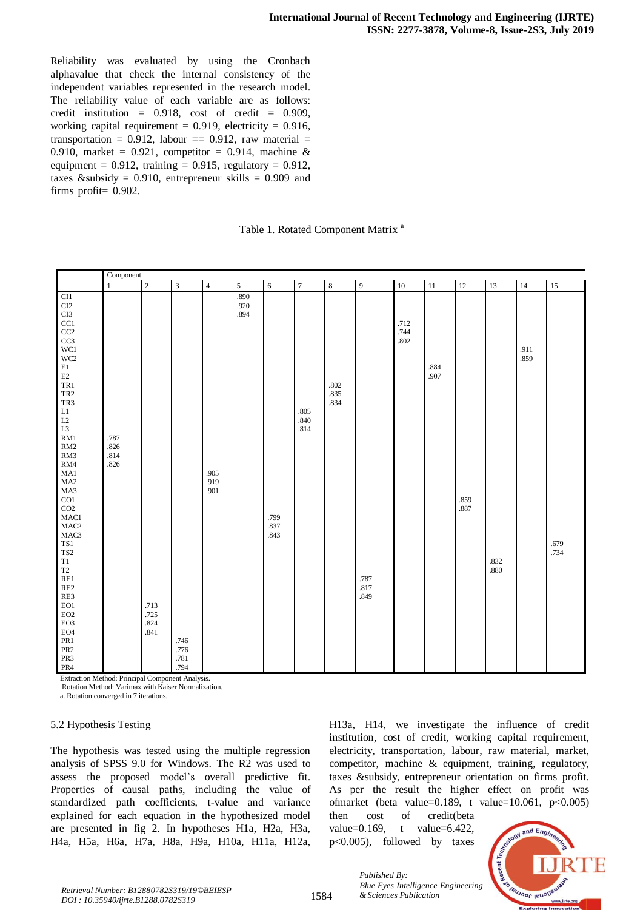Reliability was evaluated by using the Cronbach alphavalue that check the internal consistency of the independent variables represented in the research model. The reliability value of each variable are as follows: credit institution =  $0.918$ , cost of credit =  $0.909$ , working capital requirement =  $0.919$ , electricity =  $0.916$ , transportation = 0.912, labour == 0.912, raw material = 0.910, market = 0.921, competitor = 0.914, machine  $\&$ equipment =  $0.912$ , training = 0.915, regulatory = 0.912, taxes &subsidy = 0.910, entrepreneur skills = 0.909 and firms profit $= 0.902$ .

|  |  |  | Table 1. Rotated Component Matrix <sup>a</sup> |  |  |
|--|--|--|------------------------------------------------|--|--|
|--|--|--|------------------------------------------------|--|--|

|                                                                                                                                                                                                                                                                                                                                                                                                                                                                                                                            | Component                    |                              |                              |                      |                      |                      |                      |                      |                      |                      |              |              |              |              |              |
|----------------------------------------------------------------------------------------------------------------------------------------------------------------------------------------------------------------------------------------------------------------------------------------------------------------------------------------------------------------------------------------------------------------------------------------------------------------------------------------------------------------------------|------------------------------|------------------------------|------------------------------|----------------------|----------------------|----------------------|----------------------|----------------------|----------------------|----------------------|--------------|--------------|--------------|--------------|--------------|
|                                                                                                                                                                                                                                                                                                                                                                                                                                                                                                                            | $\mathbf{1}$                 | $\overline{c}$               | $\sqrt{3}$                   | $\overline{4}$       | 5                    | $\overline{6}$       | $\overline{7}$       | $\,8\,$              | $\overline{9}$       | $10\,$               | 11           | $12\,$       | 13           | 14           | 15           |
| CI1<br>$\rm C I2$<br>CI3<br>CC1<br>$\rm CC2$<br>$\rm CC3$<br>WC1<br>WC <sub>2</sub><br>$\rm E1$<br>$\mathop{\rm E{2}}$<br>TR1<br>TR <sub>2</sub><br>TR3<br>$\mathop{\rm L{1}}$<br>$\rm L2$<br>L <sub>3</sub><br>RM1<br>RM2<br>RM3<br>RM4<br>MA1<br>MA <sub>2</sub><br>MA3<br>CO1<br>CO <sub>2</sub><br>MAC1<br>MAC <sub>2</sub><br>MAC3<br>TS1<br>TS <sub>2</sub><br>T1<br>$\operatorname{T2}$<br>RE1<br>$\mathbf{RE2}$<br>RE3<br>EO1<br>EO <sub>2</sub><br>EO3<br>EO <sub>4</sub><br>PR1<br>PR <sub>2</sub><br>PR3<br>PR4 | .787<br>.826<br>.814<br>.826 | .713<br>.725<br>.824<br>.841 | .746<br>.776<br>.781<br>.794 | .905<br>.919<br>.901 | .890<br>.920<br>.894 | .799<br>.837<br>.843 | .805<br>.840<br>.814 | .802<br>.835<br>.834 | .787<br>.817<br>.849 | .712<br>.744<br>.802 | .884<br>.907 | .859<br>.887 | .832<br>.880 | .911<br>.859 | .679<br>.734 |

Extraction Method: Principal Component Analysis.

Rotation Method: Varimax with Kaiser Normalization.

a. Rotation converged in 7 iterations.

#### 5.2 Hypothesis Testing

The hypothesis was tested using the multiple regression analysis of SPSS 9.0 for Windows. The R2 was used to assess the proposed model's overall predictive fit. Properties of causal paths, including the value of standardized path coefficients, t-value and variance explained for each equation in the hypothesized model are presented in fig 2. In hypotheses H1a, H2a, H3a, H4a, H5a, H6a, H7a, H8a, H9a, H10a, H11a, H12a,

H13a, H14, we investigate the influence of credit institution, cost of credit, working capital requirement, electricity, transportation, labour, raw material, market, competitor, machine  $\&$  equipment, training, regulatory, taxes &subsidy, entrepreneur orientation on firms profit. As per the result the higher effect on profit was ofmarket (beta value=0.189, t value=10.061,  $p < 0.005$ )

then cost of credit(beta value=0.169, t value=6.422,  $p<0.005$ , followed by taxes

*Published By:*

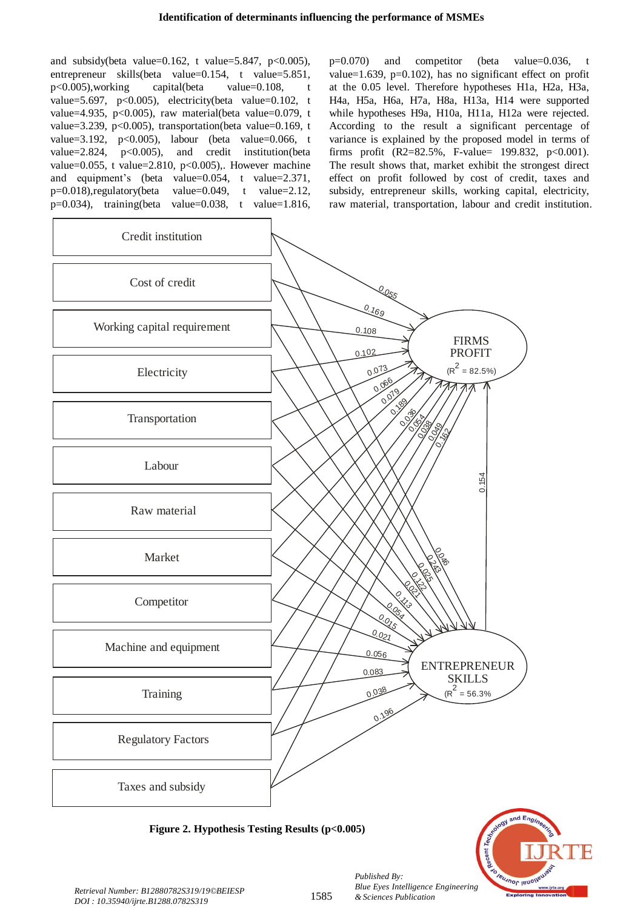and subsidy(beta value=0.162, t value=5.847, p<0.005), entrepreneur skills(beta value=0.154, t value=5.851,  $p<0.005$ ), working capital(beta value=0.108, value=5.697, p<0.005), electricity(beta value=0.102, t value=4.935, p<0.005), raw material(beta value=0.079, t value=3.239, p<0.005), transportation(beta value=0.169, t value=3.192,  $p<0.005$ ), labour (beta value=0.066, t value= $2.824$ , p<0.005), and credit institution(beta value=0.055, t value=2.810, p<0.005),. However machine and equipment's (beta value= $0.054$ , t value=2.371,  $p=0.018$ ),regulatory(beta value=0.049, t value=2.12,  $p=0.034$ ), training(beta value=0.038, t value=1.816,  $p=0.070$  and competitor (beta value=0.036, t value=1.639,  $p=0.102$ ), has no significant effect on profit at the 0.05 level. Therefore hypotheses H1a, H2a, H3a, H4a, H5a, H6a, H7a, H8a, H13a, H14 were supported while hypotheses H9a, H10a, H11a, H12a were rejected. According to the result a significant percentage of variance is explained by the proposed model in terms of firms profit (R2=82.5%, F-value= 199.832, p<0.001). The result shows that, market exhibit the strongest direct effect on profit followed by cost of credit, taxes and subsidy, entrepreneur skills, working capital, electricity, raw material, transportation, labour and credit institution.



**Figure 2. Hypothesis Testing Results (p<0.005)**



*Published By:*

*& Sciences Publication*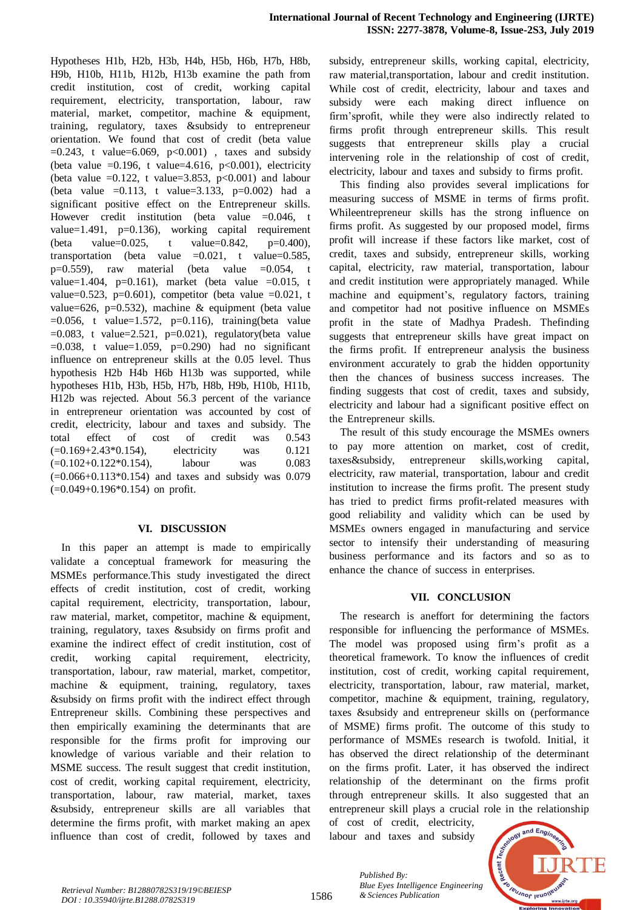Hypotheses H1b, H2b, H3b, H4b, H5b, H6b, H7b, H8b, H9b, H10b, H11b, H12b, H13b examine the path from credit institution, cost of credit, working capital requirement, electricity, transportation, labour, raw material, market, competitor, machine  $\&$  equipment, training, regulatory, taxes &subsidy to entrepreneur orientation. We found that cost of credit (beta value  $=0.243$ , t value=6.069, p < 0.001), taxes and subsidy (beta value  $=0.196$ , t value=4.616, p<0.001), electricity (beta value  $=0.122$ , t value=3.853, p<0.001) and labour (beta value =0.113, t value=3.133, p=0.002) had a significant positive effect on the Entrepreneur skills. However credit institution (beta value  $=0.046$ , t value=1.491,  $p=0.136$ ), working capital requirement (beta value=0.025, t value=0.842,  $p=0.400$ ), transportation (beta value  $=0.021$ , t value=0.585, p=0.559), raw material (beta value =0.054, t value=1.404, p=0.161), market (beta value =0.015, t value=0.523, p=0.601), competitor (beta value =0.021, t value=626, p=0.532), machine & equipment (beta value  $=0.056$ , t value=1.572, p=0.116), training(beta value  $=0.083$ , t value=2.521, p=0.021), regulatory(beta value  $=0.038$ , t value=1.059, p=0.290) had no significant influence on entrepreneur skills at the  $0.05$  level. Thus hypothesis H2b H4b H6b H13b was supported, while hypotheses H1b, H3b, H5b, H7b, H8b, H9b, H10b, H11b, H12b was rejected. About 56.3 percent of the variance in entrepreneur orientation was accounted by cost of credit, electricity, labour and taxes and subsidy. The total effect of cost of credit was 0.543  $(=0.169 + 2.43 * 0.154)$ , electricity was  $0.121$  $(=0.102+0.122*0.154)$ , labour was 0.083  $(=0.066+0.113*0.154)$  and taxes and subsidy was 0.079  $(=0.049+0.196*0.154)$  on profit.

## **VI. DISCUSSION**

In this paper an attempt is made to empirically validate a conceptual framework for measuring the MSMEs performance.This study investigated the direct effects of credit institution, cost of credit, working capital requirement, electricity, transportation, labour, raw material, market, competitor, machine & equipment, training, regulatory, taxes &subsidy on firms profit and examine the indirect effect of credit institution, cost of credit, working capital requirement, electricity, transportation, labour, raw material, market, competitor, machine  $\&$  equipment, training, regulatory, taxes &subsidy on firms profit with the indirect effect through Entrepreneur skills. Combining these perspectives and then empirically examining the determinants that are responsible for the firms profit for improving our knowledge of various variable and their relation to MSME success. The result suggest that credit institution, cost of credit, working capital requirement, electricity, transportation, labour, raw material, market, taxes &subsidy, entrepreneur skills are all variables that determine the firms profit, with market making an apex influence than cost of credit, followed by taxes and

subsidy, entrepreneur skills, working capital, electricity, raw material,transportation, labour and credit institution. While cost of credit, electricity, labour and taxes and subsidy were each making direct influence on firm'sprofit, while they were also indirectly related to firms profit through entrepreneur skills. This result suggests that entrepreneur skills play a crucial intervening role in the relationship of cost of credit, electricity, labour and taxes and subsidy to firms profit.

This finding also provides several implications for measuring success of MSME in terms of firms profit. Whileentrepreneur skills has the strong influence on firms profit. As suggested by our proposed model, firms profit will increase if these factors like market, cost of credit, taxes and subsidy, entrepreneur skills, working capital, electricity, raw material, transportation, labour and credit institution were appropriately managed. While machine and equipment's, regulatory factors, training and competitor had not positive influence on MSMEs profit in the state of Madhya Pradesh. Thefinding suggests that entrepreneur skills have great impact on the firms profit. If entrepreneur analysis the business environment accurately to grab the hidden opportunity then the chances of business success increases. The finding suggests that cost of credit, taxes and subsidy, electricity and labour had a significant positive effect on the Entrepreneur skills.

The result of this study encourage the MSMEs owners to pay more attention on market, cost of credit, taxes&subsidy, entrepreneur skills,working capital, electricity, raw material, transportation, labour and credit institution to increase the firms profit. The present study has tried to predict firms profit-related measures with good reliability and validity which can be used by MSMEs owners engaged in manufacturing and service sector to intensify their understanding of measuring business performance and its factors and so as to enhance the chance of success in enterprises.

# **VII. CONCLUSION**

The research is aneffort for determining the factors responsible for influencing the performance of MSMEs. The model was proposed using firm's profit as a theoretical framework. To know the influences of credit institution, cost of credit, working capital requirement, electricity, transportation, labour, raw material, market, competitor, machine  $\&$  equipment, training, regulatory, taxes &subsidy and entrepreneur skills on (performance of MSME) firms profit. The outcome of this study to performance of MSMEs research is twofold. Initial, it has observed the direct relationship of the determinant on the firms profit. Later, it has observed the indirect relationship of the determinant on the firms profit through entrepreneur skills. It also suggested that an entrepreneur skill plays a crucial role in the relationship

of cost of credit, electricity, labour and taxes and subsidy

*Published By:*

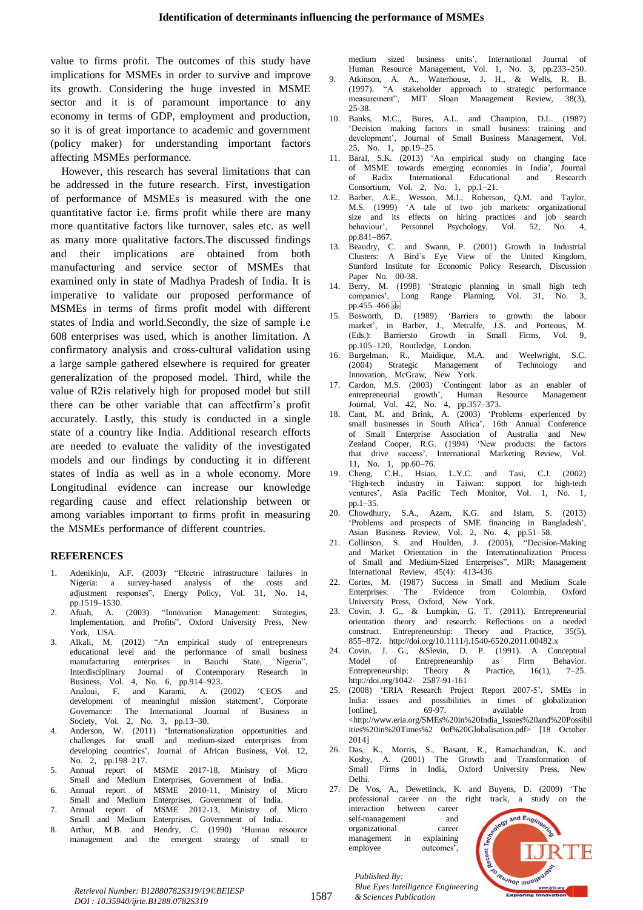value to firms profit. The outcomes of this study have implications for MSMEs in order to survive and improve its growth. Considering the huge invested in MSME sector and it is of paramount importance to any economy in terms of GDP, employment and production, so it is of great importance to academic and government (policy maker) for understanding important factors affecting MSMEs performance.

However, this research has several limitations that can be addressed in the future research. First, investigation of performance of MSMEs is measured with the one quantitative factor i.e. firms profit while there are many more quantitative factors like turnover, sales etc. as well as many more qualitative factors. The discussed findings and their implications are obtained from both manufacturing and service sector of MSMEs that examined only in state of Madhya Pradesh of India. It is imperative to validate our proposed performance of MSMEs in terms of firms profit model with different states of India and world.Secondly, the size of sample i.e  $608$  enterprises was used, which is another limitation. A confirmatory analysis and cross-cultural validation using a large sample gathered elsewhere is required for greater generalization of the proposed model. Third, while the value of R2is relatively high for proposed model but still there can be other variable that can affectfirm's profit accurately. Lastly, this study is conducted in a single state of a country like India. Additional research efforts are needed to evaluate the validity of the investigated models and our findings by conducting it in different states of India as well as in a whole economy. More Longitudinal evidence can increase our knowledge regarding cause and effect relationship between or among variables important to firms profit in measuring the MSMEs performance of different countries.

#### **REFERENCES**

- Adenikinju, A.F. (2003) "Electric infrastructure failures in Nigeria: a survey-based analysis of the costs and adjustment responses", Energy Policy, Vol. 31, No. 14, pp.1519–1530.
- 2. Afuah, A. (2003) "Innovation Management: Strategies, Implementation, and Profits", Oxford University Press, New York, USA.
- 3. Alkali, M. (2012) "An empirical study of entrepreneurs educational level and the performance of small business<br>The manufacturing enterprises in Bauchi State. Nigeria". manufacturing enterprises in Bauchi State, Nigeria", Interdisciplinary Journal of Contemporary Research in Business, Vol. 4, No. 6, pp.914–923. Analoui, F. and Karami, A. (2002) 'CEOS and development of meaningful mission statement', Corporate Governance: The International Journal of Business in Society, Vol. 2, No. 3,  $pp.13-30$ .
- 4. Anderson, W. (2011) 'Internationalization opportunities and challenges for small and medium-sized enterprises from developing countries', Journal of African Business, Vol. 12, No. 2, pp.198–217.
- 5. Annual report of MSME 2017-18, Ministry of Micro Small and Medium Enterprises, Government of India.
- 6. Annual report of MSME 2010-11, Ministry of Micro Small and Medium Enterprises, Government of India.
- 7. Annual report of MSME 2012-13, Ministry of Micro Small and Medium Enterprises, Government of India.
- 8. Arthur, M.B. and Hendry, C. (1990) 'Human resource<br>management and the emergent strategy of small to management and the emergent strategy of

medium sized business units', International Journal of Human Resource Management, Vol. 1, No. 3, pp.233–250.<br>Atkinson, A. A., Waterhouse, J. H., & Wells, R. B. 9. Atkinson, A. A., Waterhouse, J. H., & (1997). "A stakeholder approach to strategic performance measurement", MIT Sloan Management Review, 38(3),

- 25-38. 10. Banks, M.C., Bures, A.L. and Champion, D.L. (1987) 'Decision making factors in small business: training and development', Journal of Small Business Management, Vol. 25, No. 1, pp.19–25.
- 11. Baral, S.K. (2013) 'An empirical study on changing face of MSME towards emerging economies in India', Journal of Radix International Educational and Research Consortium, Vol. 2, No. 1,  $pp.1-21$ .
- 12. Barber, A.E., Wesson, M.J., Roberson, Q.M. and Taylor, M.S. (1999) 'A tale of two job markets: organizational size and its effects on hiring practices and job search behaviour', Personnel Psychology, Vol. 52, No. 4, pp. $841-867$ .
- 13. Beaudry, C. and Swann, P. (2001) Growth in Industrial Clusters: A Bird's Eye View of the United Kingdom, Stanford Institute for Economic Policy Research, Discussion Paper No. 00-38.
- 14. Berry, M. (1998) 'Strategic planning in small high tech companies', Long Range Planning, Vol. 31, No. 3, pp.455–466.<sup>1</sup><sub>SEP</sub><br>Bosworth, D.
- 15. Bosworth, D. (1989) 'Barriers to growth: the labour market', in Barber, J., Metcalfe, J.S. and Porteous, M. (Eds.): Barriersto Growth in Small Firms, Vol. 9, pp.105–120, Routledge, London.
- 16. Burgelman, R., Maidique, M.A. and Weelwright, S.C.<br>(2004) Strategic Management of Technology and (2004) Strategic Management of Technology and Innovation, McGraw, New York.
- 17. Cardon, M.S. (2003) 'Contingent labor as an enabler of entrepreneurial growth', Human Resource Management entrepreneurial growth', Human Resource Management Journal, Vol.  $42$ , No. 4, pp.357–373.
- 18. Cant, M. and Brink, A. (2003) 'Problems experienced by small businesses in South Africa', 16th Annual Conference of Small Enterprise Association of Australia and New Zealand Cooper, R.G. (1994) 'New products: the factors that drive success', International Marketing Review, Vol. 11, No. 1,  $pp.60-76$ .
- 19. Cheng, C.H., Hsiao, L.Y.C. and Tasi, C.J. (2002) 'High-tech industry in Taiwan: support for high-tech ventures', Asia Pacific Tech Monitor, Vol. 1, No. 1,  $pp.1-35.$
- 20. Chowdhury, S.A., Azam, K.G. and Islam, S. (2013) 'Problems and prospects of SME financing in Bangladesh', Asian Business Review, Vol. 2, No. 4, pp.51–58.<br>Collinson, S. and Houlden, J. (2005), "Decision-Making
- 21. Collinson, S. and Houlden, J.  $(2005)$ , and Market Orientation in the Internationalization Process of Small and Medium-Sized Enterprises", MIR: Management International Review,  $45(4):$   $413-436$ .
- 22. Cortes, M. (1987) Success in Small and Medium Scale Enterprises: The Evidence from Colombia, Oxford University Press, Oxford, New York.
- 23. Covin, J. G., & Lumpkin, G. T. (2011). Entrepreneurial orientation theory and research: Reflections on a needed construct. Entrepreneurship: Theory and Practice,  $35(5)$ , 855–872. http://doi.org/10.1111/j.1540-6520.2011.00482.x
- 24. Covin, J. G., &Slevin, D. P. (1991). A Conceptual Model of Entrepreneurship as Firm Behavior.<br>Theory & Practice. 16(1). 7–25. Entrepreneurship: Theory  $\&$ http://doi.org/1042-2587-91-161
- 25. (2008) 'ERIA Research Project Report 2007-5'. SMEs in India: issues and possibilities in times of globalization [online], 69-97. available from <http://www.eria.org/SMEs%20in%20India\_Issues%20and%20Possibil ities%20in%20Times%2 0of%20Globalisation.pdf> [18 October 20141
- 26. Das, K., Morris, S., Basant, R., Ramachandran, K. and Koshy, A. (2001) The Growth and Transformation of Small Firms in India, Oxford University Press, New Delhi.
- 27. De Vos, A., Dewettinck, K. and Buyens, D. (2009) The professional career on the right track, a study on the interaction between career and Engin self-management and organizational career management in explaining



*Retrieval Number: B12880782S319/19©BEIESP DOI : 10.35940/ijrte.B1288.0782S319*

*Published By: Blue Eyes Intelligence Engineering & Sciences Publication* 

employee outcomes',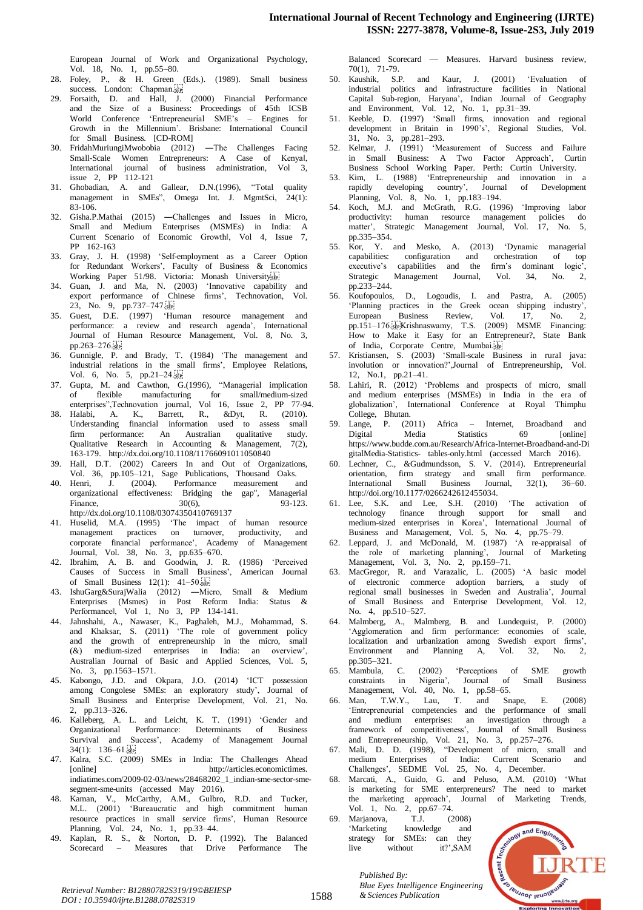European Journal of Work and Organizational Psychology, Vol. 18, No. 1, pp.55–80.

- 28. Foley, P., & H. Green (Eds.). (1989). Small business success. London: Chapman.
- 29. Forsaith, D. and Hall, J. (2000) Financial Performance and the Size of a Business: Proceedings of 45th ICSB World Conference 'Entrepreneurial SME's – Engines for Growth in the Millennium'. Brisbane: International Council for Small Business. [CD-ROM]
- 30. FridahMuriungiMwobobia (2012) —The Challenges Facing Small-Scale Women Entrepreneurs: A Case of Kenyal, International journal of business administration, Vol 3, issue 2, PP  $112-121$
- 31. Ghobadian, A. and Gallear, D.N.(1996), "Total quality management in SMEs", Omega Int. J. MgmtSci,  $24(1)$ :  $83 - 106$ .
- 32. Gisha.P.Mathai (2015) Challenges and Issues in Micro, Small and Medium Enterprises (MSMEs) in India: A Current Scenario of Economic Growthl, Vol 4, Issue 7, PP 162-163
- 33. Gray, J. H. (1998) 'Self-employment as a Career Option for Redundant Workers', Faculty of Business & Economics Working Paper 51/98. Victoria: Monash University<sup>17</sup>
- 34. Guan, J. and Ma, N. (2003) 'Innovative capability and export performance of Chinese firms', Technovation, Vol. 23, No. 9, pp.737–747.
- 35. Guest, D.E. (1997) 'Human resource management and performance: a review and research agenda', International Journal of Human Resource Management, Vol. 8, No. 3, pp.263–276.
- 36. Gunnigle, P. and Brady, T. (1984) 'The management and industrial relations in the small firms', Employee Relations, Vol. 6, No. 5,  $pp.21-24.5$
- 37. Gupta, M. and Cawthon, G.(1996), "Managerial implication of flexible manufacturing for small/medium-sized enterprises",Technovation journal, Vol 16, Issue 2, PP 77-94.
- 38. Halabi, A. K., Barrett, R., &Dyt, R. (2010). Understanding financial information used to assess small firm performance: An Australian qualitative study. Qualitative Research in Accounting & Management,  $7(2)$ , 163-179. http://dx.doi.org/10.1108/11766091011050840
- Hall, D.T. (2002) Careers In and Out of Organizations, Vol. 36, pp.105–121, Sage Publications, Thousand Oaks.
- 40. Henri, J. (2004). Performance measurement and organizational effectiveness: Bridging the gap", Managerial<br>
Finance,  $30(6)$ ,  $93-123$ . Finance,  $30(6)$ ,  $93-123$ . http://dx.doi.org/10.1108/03074350410769137
- 41. Huselid, M.A. (1995) 'The impact of human resource management practices on turnover, productivity, and corporate financial performance', Academy of Management Journal, Vol. 38, No. 3, pp.635–670.
- 42. Ibrahim, A. B. and Goodwin, J. R. (1986) 'Perceived Causes of Success in Small Business', American Journal of Small Business  $12(1)$ :  $41-50.5$
- 43. IshuGarg&SurajWalia (2012) Micro, Small & Medium Enterprises (Msmes) in Post Reform India: Status & Performancel, Vol 1, No 3, PP 134-141.
- 44. Jahnshahi, A., Nawaser, K., Paghaleh, M.J., Mohammad, S. and Khaksar, S. (2011) 'The role of government policy and the growth of entrepreneurship in the micro, small  $(\&)$  medium-sized enterprises in India: an overview', Australian Journal of Basic and Applied Sciences, Vol. 5, No. 3, pp.1563–1571.
- 45. Kabongo, J.D. and Okpara, J.O. (2014) 'ICT possession among Congolese SMEs: an exploratory study', Journal of Small Business and Enterprise Development, Vol. 21, No. 2, pp.313–326.
- 46. Kalleberg, A. L. and Leicht, K. T. (1991) 'Gender and Organizational Performance: Determinants of Business Survival and Success', Academy of Management Journal  $34(1): 136-61.$
- 47. Kalra, S.C. (2009) SMEs in India: The Challenges Ahead [online] http://articles.economictimes. indiatimes.com/2009-02-03/news/28468202\_1\_indian-sme-sector-smesegment-sme-units (accessed May 2016).
- 48. Kaman, V., McCarthy, A.M., Gulbro, R.D. and Tucker, M.L. (2001) 'Bureaucratic and high commitment human resource practices in small service firms', Human Resource Planning, Vol. 24, No. 1, pp.33–44.
- 49. Kaplan, R. S., & Norton, D. P. (1992). The Balanced Scorecard – Measures that Drive Performance The

Balanced Scorecard — Measures. Harvard business review,

- 70(1), 71-79.<br>50. Kaushik, S.P. and Kaur, J. (2001) 'Evaluation of industrial politics and infrastructure facilities in National Capital Sub-region, Haryana', Indian Journal of Geography and Environment, Vol.  $12$ , No. 1, pp.31–39.
- 51. Keeble, D. (1997) 'Small firms, innovation and regional development in Britain in 1990's', Regional Studies, Vol. 31, No. 3, pp.281-293.
- 52. Kelmar, J. (1991) 'Measurement of Success and Failure in Small Business: A Two Factor Approach', Curtin Business School Working Paper. Perth: Curtin University.
- 53. Kim, L. (1988) 'Entrepreneurship and innovation in a rapidly developing country', Journal of Development Planning, Vol.  $8,$  No. 1, pp.183–194.
- 54. Koch, M.J. and McGrath, R.G. (1996) 'Improving labor productivity: human resource management policies do matter', Strategic Management Journal, Vol. 17, No. 5,  $pn.335-354.$
- Kor, Y. and Mesko, A. (2013) 'Dynamic managerial capabilities: configuration and orchestration of top executive's capabilities and the firm's dominant logic', Strategic Management Journal, Vol. 34, No. pp.233-244.
- 56. Koufopoulos, D., Logoudis, I. and Pastra, A. (2005) 'Planning practices in the Greek ocean shipping industry',<br>European Business Review, Vol. 17, No. 2, European Business Review, Vol. 17, No. 2, pp.151–176. Fight Krishnaswamy, T.S. (2009) MSME Financing: How to Make it Easy for an Entrepreneur?, State Bank of India, Corporate Centre, Mumbai.
- 57. Kristiansen, S. (2003) 'Small-scale Business in rural java: involution or innovation?',Journal of Entrepreneurship, Vol. 12, No.1, pp.21–41.
- 58. Lahiri, R. (2012) 'Problems and prospects of micro, small and medium enterprises (MSMEs) in India in the era of globalization', International Conference at Royal Thimphu College, Bhutan.
- 59. Lange, P. (2011) Africa Internet, Broadband and Digital Media Statistics 69 [online] https://www.budde.com.au/Research/Africa-Internet-Broadband-and-Di gitalMedia-Statistics- tables-only.html (accessed March 2016).
- Lechner, C., &Gudmundsson, S. V. (2014). Entrepreneurial orientation, firm strategy and small firm performance. International Small Business Journal, 32(1), 36–60. http://doi.org/10.1177/0266242612455034.
- 61. Lee, S.K. and Lee, S.H. (2010) 'The activation of technology finance through support for small and medium-sized enterprises in Korea', International Journal of Business and Management, Vol. 5, No. 4, pp.75–79.
- Leppard, J. and McDonald, M. (1987) 'A re-appraisal of the role of marketing planning', Journal of Marketing Management, Vol. 3, No. 2, pp.159–71.
- 63. MacGregor, R. and Varazalic, L. (2005) 'A basic model of electronic commerce adoption barriers, a study of regional small businesses in Sweden and Australia', Journal of Small Business and Enterprise Development, Vol. 12, No. 4, pp.510–527.
- 64. Malmberg, A., Malmberg, B. and Lundequist, P. (2000) 'Agglomeration and firm performance: economies of scale, localization and urbanization among Swedish export firms', Environment and Planning A, Vol. 32, No. 2, pp.305–321.
- 65. Mambula, C. (2002) 'Perceptions of SME growth constraints in Nigeria', Journal of Small Business Management, Vol. 40, No. 1, pp.58–65.
- Man, T.W.Y., Lau, T. and Snape, E. (2008) 'Entrepreneurial competencies and the performance of small and medium enterprises: an investigation through a framework of competitiveness', Journal of Small Business and Entrepreneurship, Vol. 21, No. 3, pp.257–276.
- 67. Mali, D. D. (1998), "Development of micro, small and medium Enterprises of India: Current Scenario and Challenges', SEDME Vol. 25, No. 4, December.
- 68. Marcati, A., Guido, G. and Peluso, A.M. (2010) 'What is marketing for SME enterpreneurs? The need to market the marketing approach', Journal of Marketing Trends, Vol. 1, No. 2, pp.67–74.<br>Marjanova, T.J. (2
- Marjanova, T.J. (2008) 'Marketing knowledge and strategy for SMEs: can they live without it?',SAM

*Published By:*



*Blue Eyes Intelligence I*<br>Retrieval Number: B12880782S319/19©BEIESP<br>1588 *8* Sciences Publication *DOI : 10.35940/ijrte.B1288.0782S319*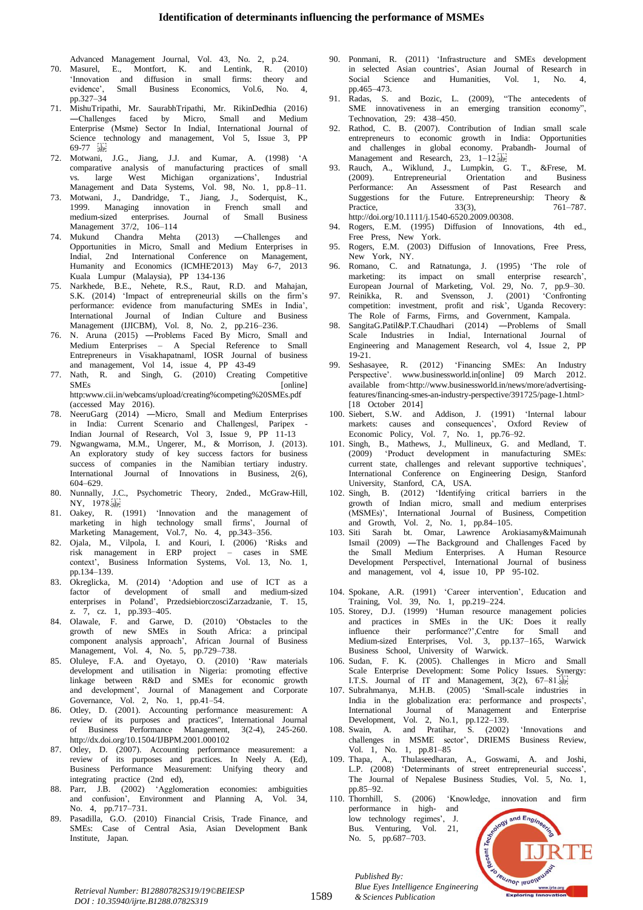Advanced Management Journal, Vol. 43, No. 2, p.24.

- 70. Masurel, E., Montfort, K. and Lentink, R. (2010) 'Innovation and diffusion in small firms: theory and evidence', Small Business Economics, Vol.6, No. 4, pp.327–34
- 71. MishuTripathi, Mr. SaurabhTripathi, Mr. RikinDedhia (2016) -Challenges faced by Micro, Small and Medium Enterprise (Msme) Sector In Indial, International Journal of Science technology and management, Vol 5, Issue 3, PP  $69-77$
- 72. Motwani, J.G., Jiang, J.J. and Kumar, A. (1998) 'A comparative analysis of manufacturing practices of small vs. large West Michigan organizations', Industrial Management and Data Systems, Vol. 98, No. 1, pp.8–11.
- 73. Motwani, J., Dandridge, T., Jiang, J., Soderquist, K., 1999. Managing innovation in French small and medium-sized enterprises. Journal of Small Business Management  $37/2$ ,  $106-114$
- 74. Mukund Chandra Mehta (2013) Challenges and Opportunities in Micro, Small and Medium Enterprises in Indial, 2nd International Conference on Management, Humanity and Economics (ICMHE'2013) May 6-7, 2013 Kuala Lumpur (Malaysia), PP 134-136
- 75. Narkhede, B.E., Nehete, R.S., Raut, R.D. and Mahajan, S.K. (2014) 'Impact of entrepreneurial skills on the firm's performance: evidence from manufacturing SMEs in India', International Journal of Indian Culture and Business Management (IJICBM), Vol. 8, No. 2, pp.216–236.
- 76. N. Aruna (2015) Problems Faced By Micro, Small and Medium Enterprises – A Special Reference to Small Entrepreneurs in Visakhapatnaml, IOSR Journal of business and management, Vol 14, issue 4, PP 43-49
- 77. Nath, R. and Singh, G. (2010) Creating Competitive SMEs [online] http:www.cii.in/webcams/upload/creating%competing%20SMEs.pdf  $(accessed$  May 2016).
- 78. NeeruGarg (2014) —Micro, Small and Medium Enterprises in India: Current Scenario and Challengesl, Paripex -Indian Journal of Research, Vol. 3, Issue  $\overline{9}$ , PP 11-13
- 79. Ngwangwama, M.M., Ungerer, M., & Morrison, J. (2013). An exploratory study of key success factors for business success of companies in the Namibian tertiary industry. International Journal of Innovations in Business, 2(6), 604–629.
- 80. Nunnally, J.C., Psychometric Theory, 2nded., McGraw-Hill, NY, 1978.
- 81. Oakey, R. (1991) 'Innovation and the management of marketing in high technology small firms', Journal of Marketing Management, Vol.7, No. 4, pp.343-356.
- 82. Ojala, M., Vilpola, I. and Kouri, I. (2006) 'Risks and risk management in ERP project – cases in SME context', Business Information Systems, Vol. 13, No. 1, pp.134-139.
- 83. Okreglicka, M. (2014) 'Adoption and use of ICT as a factor of development of small and medium-sized enterprises in Poland', PrzedsiebiorczosciZarzadzanie, T. 15, z. 7, cz. 1, pp.393–405.
- 84. Olawale, F. and Garwe, D. (2010) 'Obstacles to the growth of new SMEs in South Africa: a principal component analysis approach', African Journal of Business Management, Vol. 4, No. 5, pp.729–738.
- 85. Oluleye, F.A. and Oyetayo, O. (2010) 'Raw materials development and utilisation in Nigeria: promoting effective linkage between R&D and SMEs for economic growth and development', Journal of Management and Corporate Governance, Vol. 2, No. 1,  $pp.41-54$ .
- 86. Otley, D. (2001). Accounting performance measurement: A review of its purposes and practices", International Journal of Business Performance Management, 3(2-4), 245-260. http://dx.doi.org/10.1504/IJBPM.2001.000102
- 87. Otley, D. (2007). Accounting performance measurement: a review of its purposes and practices. In Neely A. (Ed), Business Performance Measurement: Unifying theory and integrating practice (2nd ed),
- 88. Parr, J.B. (2002) 'Agglomeration economies: ambiguities and confusion', Environment and Planning A, Vol. 34, No. 4, pp.717–731.
- Pasadilla, G.O. (2010) Financial Crisis, Trade Finance, and SMEs: Case of Central Asia, Asian Development Bank Institute, Japan.
- 90. Ponmani, R. (2011) 'Infrastructure and SMEs development in selected Asian countries', Asian Journal of Research in Social Science and Humanities, Vol. 1, No. 4, pp.465 $-473$ .
- 91. Radas, S. and Bozic, L. (2009), "The antecedents of SME innovativeness in an emerging transition economy", Technovation, 29: 438–450.
- 92. Rathod, C. B. (2007). Contribution of Indian small scale entrepreneurs to economic growth in India: Opportunities and challenges in global economy. Prabandh- Journal of Management and Research, 23,  $1-12.\frac{1}{12}$
- 93. Rauch, A., Wiklund, J., Lumpkin, G. T., &Frese, M. (2009). Entrepreneurial Orientation and Business Performance: An Assessment of Past Research and Suggestions for the Future. Entrepreneurship: Theory &<br>Practice.  $33(3)$ ,  $761-787$ .  $761 - 787.$ http://doi.org/10.1111/j.1540-6520.2009.00308.
- Rogers, E.M. (1995) Diffusion of Innovations, 4th ed., Free Press, New York.
- 95. Rogers, E.M. (2003) Diffusion of Innovations, Free Press, New York, NY.
- 96. Romano, C. and Ratnatunga, J. (1995) 'The role of marketing: its impact on small enterprise research', European Journal of Marketing, Vol. 29, No. 7, pp.9–30.
- 97. Reinikka, R. and Svensson, J. (2001) 'Confronting competition: investment, profit and risk', Uganda Recovery: The Role of Farms, Firms, and Government, Kampala.
- 98. SangitaG.Patil&P.T.Chaudhari (2014) —Problems of Small Scale Industries in Indial, International Journal of Engineering and Management Research, vol 4, Issue 2, PP 19-21.
- 99. Seshasayee, R. (2012) 'Financing SMEs: An Industry Perspective'. www.businessworld.in[online] 09 March 2012. available from<http://www.businessworld.in/news/more/advertisingfeatures/financing-smes-an-industry-perspective/391725/page-1.html> [18 October 2014]
- 100. Siebert, S.W. and Addison, J. (1991) 'Internal labour markets: causes and consequences', Oxford Review of Economic Policy, Vol. 7, No. 1,  $pp.76-92$ .
- 101. Singh, B., Mathews, J., Mullineux, G. and Medland, T. (2009) 'Product development in manufacturing SMEs: current state, challenges and relevant supportive techniques', International Conference on Engineering Design, Stanford University, Stanford, CA, USA.
- 102. Singh, B. (2012) 'Identifying critical barriers in the growth of Indian micro, small and medium enterprises (MSMEs)', International Journal of Business, Competition and Growth, Vol. 2, No. 1, pp.84–105.
- 103. Siti Sarah bt. Omar, Lawrence Arokiasamy&Maimunah Ismail (2009) —The Background and Challenges Faced by the Small Medium Enterprises. A Human Resource Development Perspectivel, International Journal of business and management, vol 4, issue  $10$ , PP 95-102.
- 104. Spokane, A.R. (1991) 'Career intervention', Education and Training, Vol. 39, No. 1, pp.219–224.
- 105. Storey, D.J. (1999) 'Human resource management policies and practices in SMEs in the UK: Does it really<br>influence their performance?', Centre for Small and influence their performance?',Centre for Small Medium-sized Enterprises, Vol. 3, pp.137–165, Warwick Business School, University of Warwick.
- 106. Sudan, F. K. (2005). Challenges in Micro and Small Scale Enterprise Development: Some Policy Issues. Synergy: I.T.S. Journal of IT and Management,  $3(2)$ ,  $67-81.5$
- 107. Subrahmanya, M.H.B. (2005) 'Small-scale industries in India in the globalization era: performance and prospects', International Journal of Management and Enterprise Development, Vol. 2, No.1,  $pp.122-139$ .
- 108. Swain, A. and Pratihar, S. (2002) 'Innovations and challenges in MSME sector', DRIEMS Business Review, Vol.  $1,$  No. 1, pp.81–85
- 109. Thapa, A., Thulaseedharan, A., Goswami, A. and Joshi, L.P. (2008) 'Determinants of street entrepreneurial success', The Journal of Nepalese Business Studies, Vol. 5, No. 1, pp.85–92.
- 110. Thornhill, S. (2006) 'Knowledge, innovation and firm performance in high- and and Engin low technology regimes', J. Bus. Venturing, Vol. 21, No. 5, pp.687–703.



*Retrieval Number: B12880782S319/19©BEIESP DOI : 10.35940/ijrte.B1288.0782S319*

*Published By:*

*& Sciences Publication*